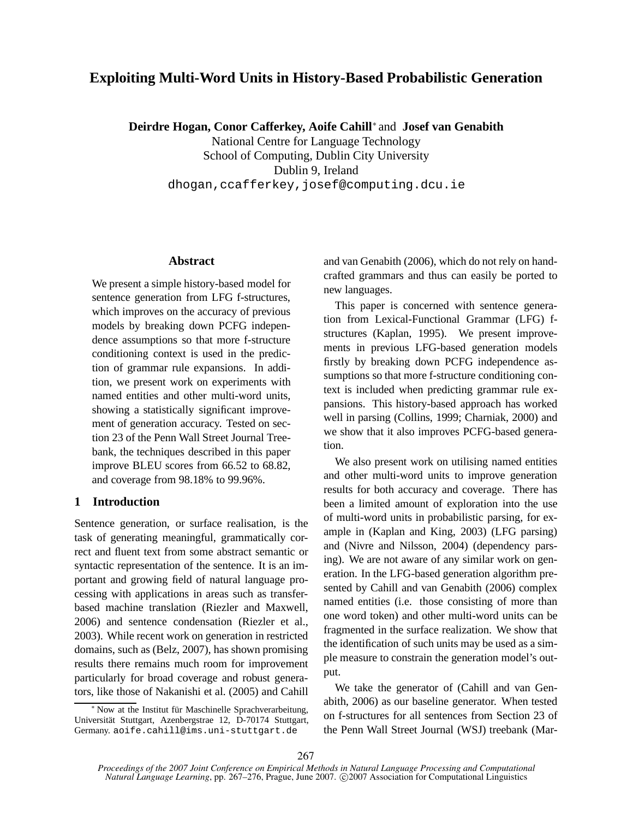# **Exploiting Multi-Word Units in History-Based Probabilistic Generation**

**Deirdre Hogan, Conor Cafferkey, Aoife Cahill**<sup>∗</sup> and **Josef van Genabith**

National Centre for Language Technology School of Computing, Dublin City University Dublin 9, Ireland dhogan,ccafferkey,josef@computing.dcu.ie

#### **Abstract**

We present a simple history-based model for sentence generation from LFG f-structures, which improves on the accuracy of previous models by breaking down PCFG independence assumptions so that more f-structure conditioning context is used in the prediction of grammar rule expansions. In addition, we present work on experiments with named entities and other multi-word units, showing a statistically significant improvement of generation accuracy. Tested on section 23 of the Penn Wall Street Journal Treebank, the techniques described in this paper improve BLEU scores from 66.52 to 68.82, and coverage from 98.18% to 99.96%.

### **1 Introduction**

Sentence generation, or surface realisation, is the task of generating meaningful, grammatically correct and fluent text from some abstract semantic or syntactic representation of the sentence. It is an important and growing field of natural language processing with applications in areas such as transferbased machine translation (Riezler and Maxwell, 2006) and sentence condensation (Riezler et al., 2003). While recent work on generation in restricted domains, such as (Belz, 2007), has shown promising results there remains much room for improvement particularly for broad coverage and robust generators, like those of Nakanishi et al. (2005) and Cahill and van Genabith (2006), which do not rely on handcrafted grammars and thus can easily be ported to new languages.

This paper is concerned with sentence generation from Lexical-Functional Grammar (LFG) fstructures (Kaplan, 1995). We present improvements in previous LFG-based generation models firstly by breaking down PCFG independence assumptions so that more f-structure conditioning context is included when predicting grammar rule expansions. This history-based approach has worked well in parsing (Collins, 1999; Charniak, 2000) and we show that it also improves PCFG-based generation.

We also present work on utilising named entities and other multi-word units to improve generation results for both accuracy and coverage. There has been a limited amount of exploration into the use of multi-word units in probabilistic parsing, for example in (Kaplan and King, 2003) (LFG parsing) and (Nivre and Nilsson, 2004) (dependency parsing). We are not aware of any similar work on generation. In the LFG-based generation algorithm presented by Cahill and van Genabith (2006) complex named entities (i.e. those consisting of more than one word token) and other multi-word units can be fragmented in the surface realization. We show that the identification of such units may be used as a simple measure to constrain the generation model's output.

We take the generator of (Cahill and van Genabith, 2006) as our baseline generator. When tested on f-structures for all sentences from Section 23 of the Penn Wall Street Journal (WSJ) treebank (Mar-

<sup>∗</sup> Now at the Institut fur¨ Maschinelle Sprachverarbeitung, Universität Stuttgart, Azenbergstrae 12, D-70174 Stuttgart, Germany. aoife.cahill@ims.uni-stuttgart.de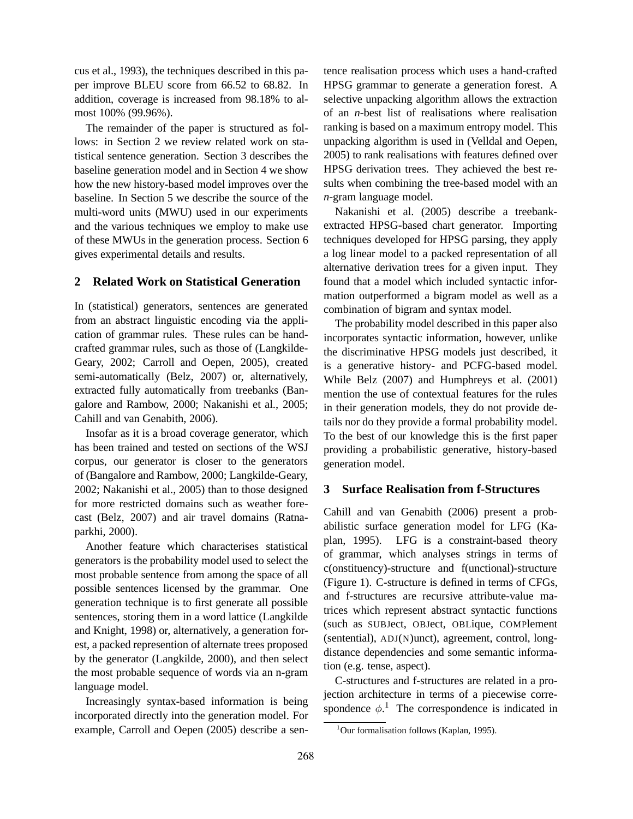cus et al., 1993), the techniques described in this paper improve BLEU score from 66.52 to 68.82. In addition, coverage is increased from 98.18% to almost 100% (99.96%).

The remainder of the paper is structured as follows: in Section 2 we review related work on statistical sentence generation. Section 3 describes the baseline generation model and in Section 4 we show how the new history-based model improves over the baseline. In Section 5 we describe the source of the multi-word units (MWU) used in our experiments and the various techniques we employ to make use of these MWUs in the generation process. Section 6 gives experimental details and results.

## **2 Related Work on Statistical Generation**

In (statistical) generators, sentences are generated from an abstract linguistic encoding via the application of grammar rules. These rules can be handcrafted grammar rules, such as those of (Langkilde-Geary, 2002; Carroll and Oepen, 2005), created semi-automatically (Belz, 2007) or, alternatively, extracted fully automatically from treebanks (Bangalore and Rambow, 2000; Nakanishi et al., 2005; Cahill and van Genabith, 2006).

Insofar as it is a broad coverage generator, which has been trained and tested on sections of the WSJ corpus, our generator is closer to the generators of (Bangalore and Rambow, 2000; Langkilde-Geary, 2002; Nakanishi et al., 2005) than to those designed for more restricted domains such as weather forecast (Belz, 2007) and air travel domains (Ratnaparkhi, 2000).

Another feature which characterises statistical generators is the probability model used to select the most probable sentence from among the space of all possible sentences licensed by the grammar. One generation technique is to first generate all possible sentences, storing them in a word lattice (Langkilde and Knight, 1998) or, alternatively, a generation forest, a packed represention of alternate trees proposed by the generator (Langkilde, 2000), and then select the most probable sequence of words via an n-gram language model.

Increasingly syntax-based information is being incorporated directly into the generation model. For example, Carroll and Oepen (2005) describe a sentence realisation process which uses a hand-crafted HPSG grammar to generate a generation forest. A selective unpacking algorithm allows the extraction of an *n*-best list of realisations where realisation ranking is based on a maximum entropy model. This unpacking algorithm is used in (Velldal and Oepen, 2005) to rank realisations with features defined over HPSG derivation trees. They achieved the best results when combining the tree-based model with an *n*-gram language model.

Nakanishi et al. (2005) describe a treebankextracted HPSG-based chart generator. Importing techniques developed for HPSG parsing, they apply a log linear model to a packed representation of all alternative derivation trees for a given input. They found that a model which included syntactic information outperformed a bigram model as well as a combination of bigram and syntax model.

The probability model described in this paper also incorporates syntactic information, however, unlike the discriminative HPSG models just described, it is a generative history- and PCFG-based model. While Belz (2007) and Humphreys et al. (2001) mention the use of contextual features for the rules in their generation models, they do not provide details nor do they provide a formal probability model. To the best of our knowledge this is the first paper providing a probabilistic generative, history-based generation model.

## **3 Surface Realisation from f-Structures**

Cahill and van Genabith (2006) present a probabilistic surface generation model for LFG (Kaplan, 1995). LFG is a constraint-based theory of grammar, which analyses strings in terms of c(onstituency)-structure and f(unctional)-structure (Figure 1). C-structure is defined in terms of CFGs, and f-structures are recursive attribute-value matrices which represent abstract syntactic functions (such as SUBJect, OBJect, OBLique, COMPlement (sentential), ADJ(N)unct), agreement, control, longdistance dependencies and some semantic information (e.g. tense, aspect).

C-structures and f-structures are related in a projection architecture in terms of a piecewise correspondence  $\phi$ <sup>1</sup>. The correspondence is indicated in

 $1$ Our formalisation follows (Kaplan, 1995).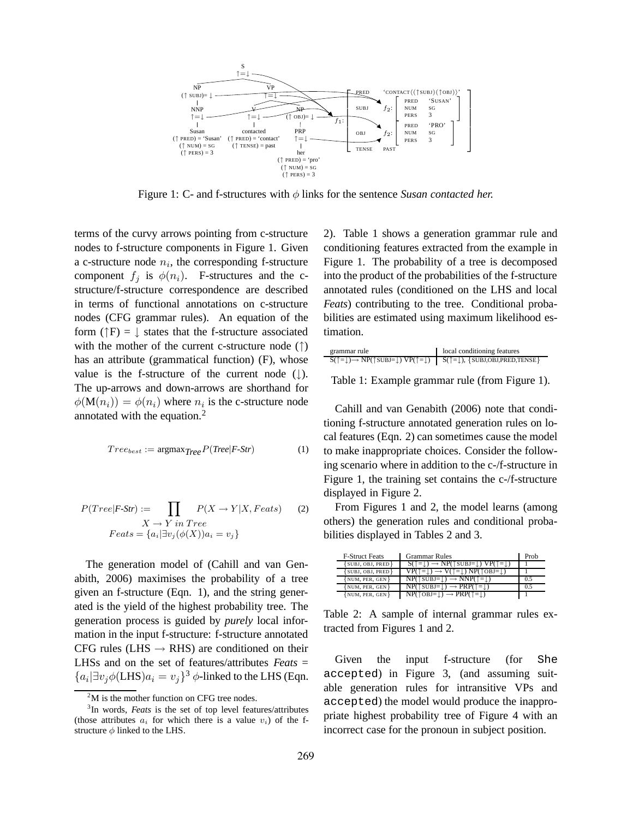

Figure 1: C- and f-structures with φ links for the sentence *Susan contacted her.*

terms of the curvy arrows pointing from c-structure nodes to f-structure components in Figure 1. Given a c-structure node  $n_i$ , the corresponding f-structure component  $f_i$  is  $\phi(n_i)$ . F-structures and the cstructure/f-structure correspondence are described in terms of functional annotations on c-structure nodes (CFG grammar rules). An equation of the form ( $\uparrow$ F) =  $\downarrow$  states that the f-structure associated with the mother of the current c-structure node (†) has an attribute (grammatical function) (F), whose value is the f-structure of the current node  $(\downarrow)$ . The up-arrows and down-arrows are shorthand for  $\phi(\mathbf{M}(n_i)) = \phi(n_i)$  where  $n_i$  is the c-structure node annotated with the equation.<sup>2</sup>

$$
Tree_{best} := \text{argmax}_{Tree} P(Tree|F\text{-}Str)
$$
 (1)

$$
P(Tree|F\text{-}Str) := \prod_{X \to Y \text{ in } Tree} P(X \to Y|X, Facts) \tag{2}
$$

$$
Feats = \{a_i | \exists v_j (\phi(X)) a_i = v_j \}
$$

The generation model of (Cahill and van Genabith, 2006) maximises the probability of a tree given an f-structure (Eqn. 1), and the string generated is the yield of the highest probability tree. The generation process is guided by *purely* local information in the input f-structure: f-structure annotated CFG rules (LHS  $\rightarrow$  RHS) are conditioned on their LHSs and on the set of features/attributes *Feats* =  ${a_i \vert \exists v_j \phi(LHS) a_i = v_j \}^3 \phi$ -linked to the LHS (Eqn.

2). Table 1 shows a generation grammar rule and conditioning features extracted from the example in Figure 1. The probability of a tree is decomposed into the product of the probabilities of the f-structure annotated rules (conditioned on the LHS and local *Feats*) contributing to the tree. Conditional probabilities are estimated using maximum likelihood estimation.

| grammar rule                                                                                                                                          | local conditioning features |
|-------------------------------------------------------------------------------------------------------------------------------------------------------|-----------------------------|
| $S(\uparrow = \downarrow) \rightarrow NP(\uparrow SUBJ = \downarrow) VP(\uparrow = \downarrow)$ $S(\uparrow = \downarrow), \{SUBJ,OBJ, PRED, TENSE\}$ |                             |

Table 1: Example grammar rule (from Figure 1).

Cahill and van Genabith (2006) note that conditioning f-structure annotated generation rules on local features (Eqn. 2) can sometimes cause the model to make inappropriate choices. Consider the following scenario where in addition to the c-/f-structure in Figure 1, the training set contains the c-/f-structure displayed in Figure 2.

From Figures 1 and 2, the model learns (among others) the generation rules and conditional probabilities displayed in Tables 2 and 3.

| <b>F-Struct Feats</b> | <b>Grammar Rules</b>                                                                                   | Prob |
|-----------------------|--------------------------------------------------------------------------------------------------------|------|
| $\{SUBJ, OBJ, PRED\}$ | $S(\uparrow = \downarrow) \rightarrow NP(\uparrow \text{SUBJ} = \downarrow) VP(\uparrow = \downarrow)$ |      |
| $\{SUBJ, OBJ, PRED\}$ | $VP(\uparrow = \downarrow) \rightarrow V(\uparrow = \downarrow) NP(\uparrow$ OBJ= $\downarrow$ )       |      |
| $\{NUM, PER, GEN\}$   | $NP(\uparrow \text{SUBJ} = \downarrow) \rightarrow NP(\uparrow = \downarrow)$                          | 0.5  |
| $\{NUM, PER, GEN\}$   | $NP(\uparrow \text{SUBJ} = \downarrow) \rightarrow PRP(\uparrow = \downarrow)$                         | 0.5  |
| $\{NUM, PER, GEN\}$   | $NP(\uparrow$ OBJ= $\downarrow) \rightarrow PRP(\uparrow = \downarrow)$                                |      |

Table 2: A sample of internal grammar rules extracted from Figures 1 and 2.

Given the input f-structure (for She accepted) in Figure 3, (and assuming suitable generation rules for intransitive VPs and accepted) the model would produce the inappropriate highest probability tree of Figure 4 with an incorrect case for the pronoun in subject position.

 $2<sup>2</sup>M$  is the mother function on CFG tree nodes.

<sup>3</sup> In words, *Feats* is the set of top level features/attributes (those attributes  $a_i$  for which there is a value  $v_i$ ) of the fstructure  $\phi$  linked to the LHS.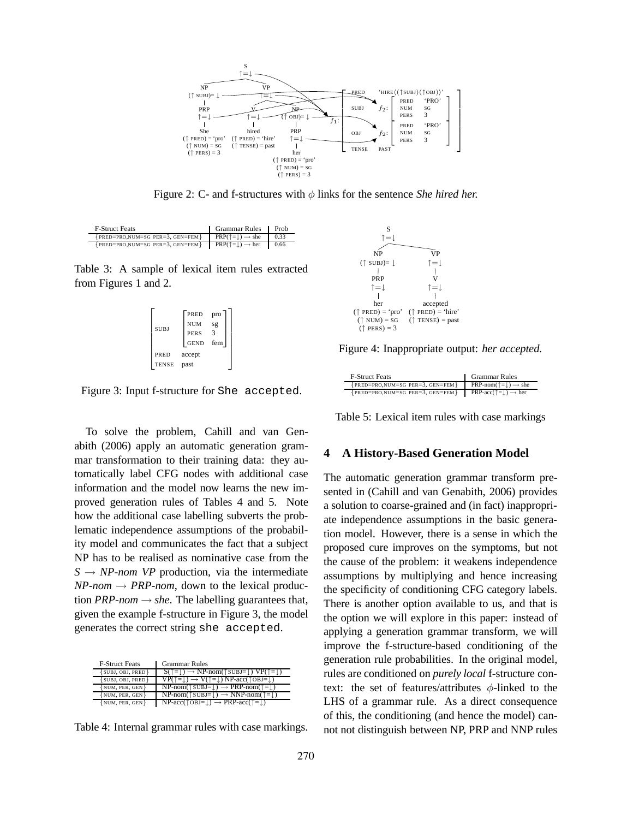

Figure 2: C- and f-structures with φ links for the sentence *She hired her.*

| <b>F-Struct Feats</b>               | Grammar Rules                          | Prob |
|-------------------------------------|----------------------------------------|------|
| ${PRED=PRO, NUM=SG PER=3, GEN=FEM}$ | $PRP(\uparrow= ) \rightarrow$ she      | 0.33 |
| ${PRED=PRO, NUM=SG PER=3, GEN=FEM}$ | $PRP(\uparrow = \bot) \rightarrow her$ | 0.66 |

Table 3: A sample of lexical item rules extracted from Figures 1 and 2.

| <b>SUBJ</b>          | PRED<br><b>NUM</b><br><b>PERS</b><br><b>GEND</b> | pro<br>sg<br>3<br>fem |
|----------------------|--------------------------------------------------|-----------------------|
| PRED<br><b>TENSE</b> | accept<br>past                                   |                       |

Figure 3: Input f-structure for She accepted.

To solve the problem, Cahill and van Genabith (2006) apply an automatic generation grammar transformation to their training data: they automatically label CFG nodes with additional case information and the model now learns the new improved generation rules of Tables 4 and 5. Note how the additional case labelling subverts the problematic independence assumptions of the probability model and communicates the fact that a subject NP has to be realised as nominative case from the  $S \rightarrow NP$ -nom VP production, via the intermediate  $NP-nom \rightarrow PRP-nom$ , down to the lexical production *PRP-nom*  $\rightarrow$  *she*. The labelling guarantees that, given the example f-structure in Figure 3, the model generates the correct string she accepted.

| <b>F-Struct Feats</b> | <b>Grammar Rules</b>                                                                                           |
|-----------------------|----------------------------------------------------------------------------------------------------------------|
| $\{SUBJ, OBJ, PRED\}$ | $S(\hat{T} = \underline{I}) \rightarrow NP-nom(\hat{T}SUBJ = \underline{I}) VP(\hat{T} = \underline{I})$       |
| $\{SUBJ, OBJ, PRED\}$ | $VP(\uparrow = \downarrow) \rightarrow V(\uparrow = \downarrow) NP\text{-}acc(\uparrow \circ BJ = \downarrow)$ |
| $\{NUM, PER, GEN\}$   | $NP-nom(\uparrow \text{SUBJ}=\downarrow) \rightarrow PRP-nom(\uparrow = \downarrow)$                           |
| NUM, PER, GEN}        | $NP-nom(\uparrow \text{SUBJ}=\downarrow) \rightarrow NNP-nom(\uparrow = \downarrow)$                           |
| $\{NUM, PER, GEN\}$   | $NP\text{-}acc(\uparrow \text{OBJ}=\downarrow) \rightarrow PRP\text{-}acc(\uparrow = \downarrow)$              |

Table 4: Internal grammar rules with case markings.



Figure 4: Inappropriate output: *her accepted.*

| <b>F-Struct Feats</b>               | <b>Grammar Rules</b>                                           |
|-------------------------------------|----------------------------------------------------------------|
| ${PRED=PRO, NUM=SG PER=3, GEN=FEM}$ | PRP-nom( $\uparrow$ = $\downarrow$ ) $\rightarrow$ she         |
| ${PRED=PRO, NUM=SG PER=3, GEN=FEM}$ | <b>PRP-acc</b> ( $\uparrow$ = $\downarrow$ ) $\rightarrow$ her |

Table 5: Lexical item rules with case markings

#### **4 A History-Based Generation Model**

The automatic generation grammar transform presented in (Cahill and van Genabith, 2006) provides a solution to coarse-grained and (in fact) inappropriate independence assumptions in the basic generation model. However, there is a sense in which the proposed cure improves on the symptoms, but not the cause of the problem: it weakens independence assumptions by multiplying and hence increasing the specificity of conditioning CFG category labels. There is another option available to us, and that is the option we will explore in this paper: instead of applying a generation grammar transform, we will improve the f-structure-based conditioning of the generation rule probabilities. In the original model, rules are conditioned on *purely local* f-structure context: the set of features/attributes  $\phi$ -linked to the LHS of a grammar rule. As a direct consequence of this, the conditioning (and hence the model) cannot not distinguish between NP, PRP and NNP rules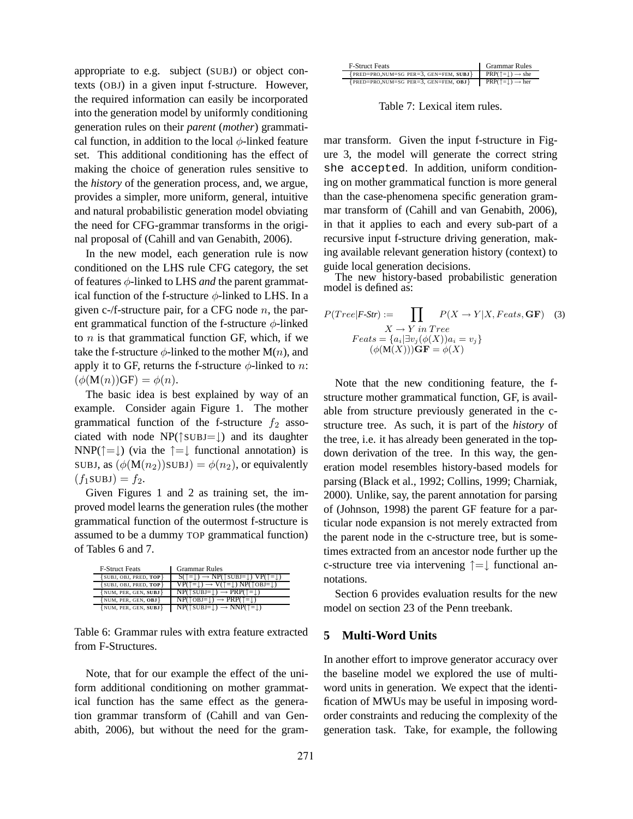appropriate to e.g. subject (SUBJ) or object contexts (OBJ) in a given input f-structure. However, the required information can easily be incorporated into the generation model by uniformly conditioning generation rules on their *parent* (*mother*) grammatical function, in addition to the local  $\phi$ -linked feature set. This additional conditioning has the effect of making the choice of generation rules sensitive to the *history* of the generation process, and, we argue, provides a simpler, more uniform, general, intuitive and natural probabilistic generation model obviating the need for CFG-grammar transforms in the original proposal of (Cahill and van Genabith, 2006).

In the new model, each generation rule is now conditioned on the LHS rule CFG category, the set of features φ-linked to LHS *and* the parent grammatical function of the f-structure  $\phi$ -linked to LHS. In a given c-/f-structure pair, for a CFG node  $n$ , the parent grammatical function of the f-structure  $\phi$ -linked to  $n$  is that grammatical function GF, which, if we take the f-structure  $\phi$ -linked to the mother M(n), and apply it to GF, returns the f-structure  $\phi$ -linked to n:  $(\phi(M(n))GF) = \phi(n).$ 

The basic idea is best explained by way of an example. Consider again Figure 1. The mother grammatical function of the f-structure  $f_2$  associated with node  $NP(\uparrow \text{SUBJ}=\downarrow)$  and its daughter NNP( $\uparrow = \downarrow$ ) (via the  $\uparrow = \downarrow$  functional annotation) is SUBJ, as  $(\phi(M(n_2))$ SUBJ $) = \phi(n_2)$ , or equivalently  $(f_1$ SUBJ $) = f_2$ .

Given Figures 1 and 2 as training set, the improved model learns the generation rules (the mother grammatical function of the outermost f-structure is assumed to be a dummy TOP grammatical function) of Tables 6 and 7.

| <b>F-Struct Feats</b>         | <b>Grammar Rules</b>                                                                                   |
|-------------------------------|--------------------------------------------------------------------------------------------------------|
| <b>{SUBJ, OBJ, PRED, TOP}</b> | $S(\uparrow = \downarrow) \rightarrow NP(\uparrow \text{SUBJ} = \downarrow) VP(\uparrow = \downarrow)$ |
| $\{SUBJ, OBJ, PRED, TOP\}$    | $VP(\uparrow = \downarrow) \rightarrow V(\uparrow = \downarrow) NP(\uparrow$ OBJ= $\downarrow$ )       |
| NUM, PER, GEN, SUBJ}          | $NP(\uparrow \text{SUBJ}=\downarrow) \rightarrow PRP(\uparrow = \downarrow)$                           |
| $\{NUM, PER, GEN, OBJ\}$      | $NP(\text{T}OBJ=!) \rightarrow PRP(\text{T} =!)$                                                       |
| $\{NUM, PER, GEN, SUBJ\}$     | $NP(\uparrow \text{SUBJ}=\downarrow) \rightarrow NP(\uparrow = \downarrow)$                            |

Table 6: Grammar rules with extra feature extracted from F-Structures.

Note, that for our example the effect of the uniform additional conditioning on mother grammatical function has the same effect as the generation grammar transform of (Cahill and van Genabith, 2006), but without the need for the gram-

| <b>F-Struct Feats</b>                     | <b>Grammar Rules</b>                         |
|-------------------------------------------|----------------------------------------------|
| ${PRED=PRO, NUM=SG PER=3, GEN=FEM, SUBJ}$ | $PRP(\uparrow= ) \rightarrow$ she            |
| ${PRED=PRO, NUM=SG PER=3, GEN=FEM, OBJ}$  | $PRP(\uparrow = \downarrow) \rightarrow her$ |

Table 7: Lexical item rules.

mar transform. Given the input f-structure in Figure 3, the model will generate the correct string she accepted. In addition, uniform conditioning on mother grammatical function is more general than the case-phenomena specific generation grammar transform of (Cahill and van Genabith, 2006), in that it applies to each and every sub-part of a recursive input f-structure driving generation, making available relevant generation history (context) to guide local generation decisions.

The new history-based probabilistic generation model is defined as:

$$
P(Tree|F\text{-}Str) := \prod_{X \to Y \text{ in } Tree} P(X \to Y|X, Facts, \mathbf{GF}) \quad (3)
$$

$$
X \to Y \text{ in } Tree
$$

$$
Feats = \{a_i | \exists v_j (\phi(X)) a_i = v_j \} \quad (\phi(M(X))) \mathbf{GF} = \phi(X)
$$

Note that the new conditioning feature, the fstructure mother grammatical function, GF, is available from structure previously generated in the cstructure tree. As such, it is part of the *history* of the tree, i.e. it has already been generated in the topdown derivation of the tree. In this way, the generation model resembles history-based models for parsing (Black et al., 1992; Collins, 1999; Charniak, 2000). Unlike, say, the parent annotation for parsing of (Johnson, 1998) the parent GF feature for a particular node expansion is not merely extracted from the parent node in the c-structure tree, but is sometimes extracted from an ancestor node further up the c-structure tree via intervening ↑=↓ functional annotations.

Section 6 provides evaluation results for the new model on section 23 of the Penn treebank.

### **5 Multi-Word Units**

In another effort to improve generator accuracy over the baseline model we explored the use of multiword units in generation. We expect that the identification of MWUs may be useful in imposing wordorder constraints and reducing the complexity of the generation task. Take, for example, the following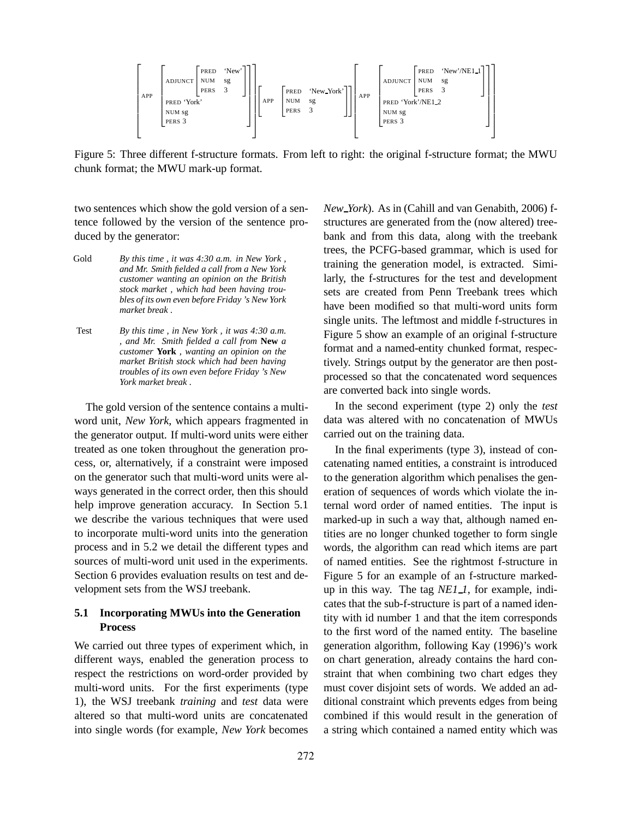

Figure 5: Three different f-structure formats. From left to right: the original f-structure format; the MWU chunk format; the MWU mark-up format.

two sentences which show the gold version of a sentence followed by the version of the sentence produced by the generator:

- Gold *By this time , it was 4:30 a.m. in New York , and Mr. Smith fielded a call from a New York customer wanting an opinion on the British stock market , which had been having troubles of its own even before Friday 's New York market break .*
- Test *By this time , in New York , it was 4:30 a.m. , and Mr. Smith fielded a call from* **New** *a customer* **York** *, wanting an opinion on the market British stock which had been having troubles of its own even before Friday 's New York market break .*

The gold version of the sentence contains a multiword unit, *New York*, which appears fragmented in the generator output. If multi-word units were either treated as one token throughout the generation process, or, alternatively, if a constraint were imposed on the generator such that multi-word units were always generated in the correct order, then this should help improve generation accuracy. In Section 5.1 we describe the various techniques that were used to incorporate multi-word units into the generation process and in 5.2 we detail the different types and sources of multi-word unit used in the experiments. Section 6 provides evaluation results on test and development sets from the WSJ treebank.

### **5.1 Incorporating MWUs into the Generation Process**

We carried out three types of experiment which, in different ways, enabled the generation process to respect the restrictions on word-order provided by multi-word units. For the first experiments (type 1), the WSJ treebank *training* and *test* data were altered so that multi-word units are concatenated into single words (for example, *New York* becomes

*New York*). As in (Cahill and van Genabith, 2006) fstructures are generated from the (now altered) treebank and from this data, along with the treebank trees, the PCFG-based grammar, which is used for training the generation model, is extracted. Similarly, the f-structures for the test and development sets are created from Penn Treebank trees which have been modified so that multi-word units form single units. The leftmost and middle f-structures in Figure 5 show an example of an original f-structure format and a named-entity chunked format, respectively. Strings output by the generator are then postprocessed so that the concatenated word sequences are converted back into single words.

In the second experiment (type 2) only the *test* data was altered with no concatenation of MWUs carried out on the training data.

In the final experiments (type 3), instead of concatenating named entities, a constraint is introduced to the generation algorithm which penalises the generation of sequences of words which violate the internal word order of named entities. The input is marked-up in such a way that, although named entities are no longer chunked together to form single words, the algorithm can read which items are part of named entities. See the rightmost f-structure in Figure 5 for an example of an f-structure markedup in this way. The tag *NE1 1*, for example, indicates that the sub-f-structure is part of a named identity with id number 1 and that the item corresponds to the first word of the named entity. The baseline generation algorithm, following Kay (1996)'s work on chart generation, already contains the hard constraint that when combining two chart edges they must cover disjoint sets of words. We added an additional constraint which prevents edges from being combined if this would result in the generation of a string which contained a named entity which was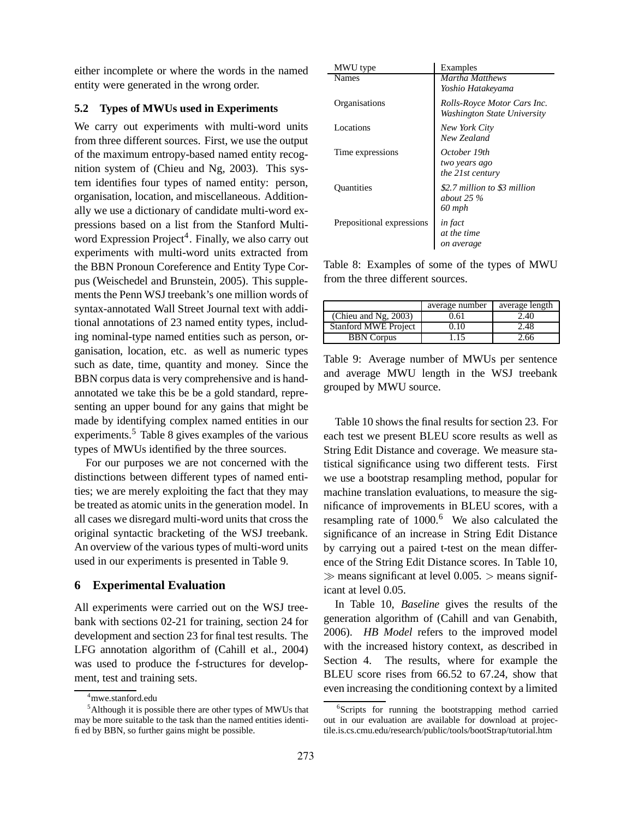either incomplete or where the words in the named entity were generated in the wrong order.

#### **5.2 Types of MWUs used in Experiments**

We carry out experiments with multi-word units from three different sources. First, we use the output of the maximum entropy-based named entity recognition system of (Chieu and Ng, 2003). This system identifies four types of named entity: person, organisation, location, and miscellaneous. Additionally we use a dictionary of candidate multi-word expressions based on a list from the Stanford Multiword Expression Project<sup>4</sup>. Finally, we also carry out experiments with multi-word units extracted from the BBN Pronoun Coreference and Entity Type Corpus (Weischedel and Brunstein, 2005). This supplements the Penn WSJ treebank's one million words of syntax-annotated Wall Street Journal text with additional annotations of 23 named entity types, including nominal-type named entities such as person, organisation, location, etc. as well as numeric types such as date, time, quantity and money. Since the BBN corpus data is very comprehensive and is handannotated we take this be be a gold standard, representing an upper bound for any gains that might be made by identifying complex named entities in our experiments.<sup>5</sup> Table 8 gives examples of the various types of MWUs identified by the three sources.

For our purposes we are not concerned with the distinctions between different types of named entities; we are merely exploiting the fact that they may be treated as atomic units in the generation model. In all cases we disregard multi-word units that cross the original syntactic bracketing of the WSJ treebank. An overview of the various types of multi-word units used in our experiments is presented in Table 9.

## **6 Experimental Evaluation**

All experiments were carried out on the WSJ treebank with sections 02-21 for training, section 24 for development and section 23 for final test results. The LFG annotation algorithm of (Cahill et al., 2004) was used to produce the f-structures for development, test and training sets.

| MWU type                  | Examples                                                   |
|---------------------------|------------------------------------------------------------|
| <b>Names</b>              | Martha Matthews<br>Yoshio Hatakeyama                       |
| Organisations             | Rolls-Royce Motor Cars Inc.<br>Washington State University |
| Locations                 | New York City<br>New Zealand                               |
| Time expressions          | October 19th<br>two years ago<br>the 21st century          |
| <b>Ouantities</b>         | \$2.7 million to \$3 million<br>about $25\%$<br>60 mph     |
| Prepositional expressions | in fact<br>at the time<br>on average                       |

Table 8: Examples of some of the types of MWU from the three different sources.

|                             | average number | average length |
|-----------------------------|----------------|----------------|
| (Chieu and Ng, $2003$ )     | 2.61           | 2.40           |
| <b>Stanford MWE Project</b> | 0.10           | 2.48           |
| <b>BBN</b> Corpus           | .15            | 2.66           |

Table 9: Average number of MWUs per sentence and average MWU length in the WSJ treebank grouped by MWU source.

Table 10 shows the final results for section 23. For each test we present BLEU score results as well as String Edit Distance and coverage. We measure statistical significance using two different tests. First we use a bootstrap resampling method, popular for machine translation evaluations, to measure the significance of improvements in BLEU scores, with a resampling rate of  $1000$ .<sup>6</sup> We also calculated the significance of an increase in String Edit Distance by carrying out a paired t-test on the mean difference of the String Edit Distance scores. In Table 10,  $\gg$  means significant at level 0.005.  $>$  means significant at level 0.05.

In Table 10, *Baseline* gives the results of the generation algorithm of (Cahill and van Genabith, 2006). *HB Model* refers to the improved model with the increased history context, as described in Section 4. The results, where for example the BLEU score rises from 66.52 to 67.24, show that even increasing the conditioning context by a limited

 $^4 \rm mwe.stanford.edu$ 

<sup>5</sup>Although it is possible there are other types of MWUs that may be more suitable to the task than the named entities identified by BBN, so further gains might be possible.

<sup>&</sup>lt;sup>6</sup>Scripts for running the bootstrapping method carried out in our evaluation are available for download at projectile.is.cs.cmu.edu/research/public/tools/bootStrap/tutorial.htm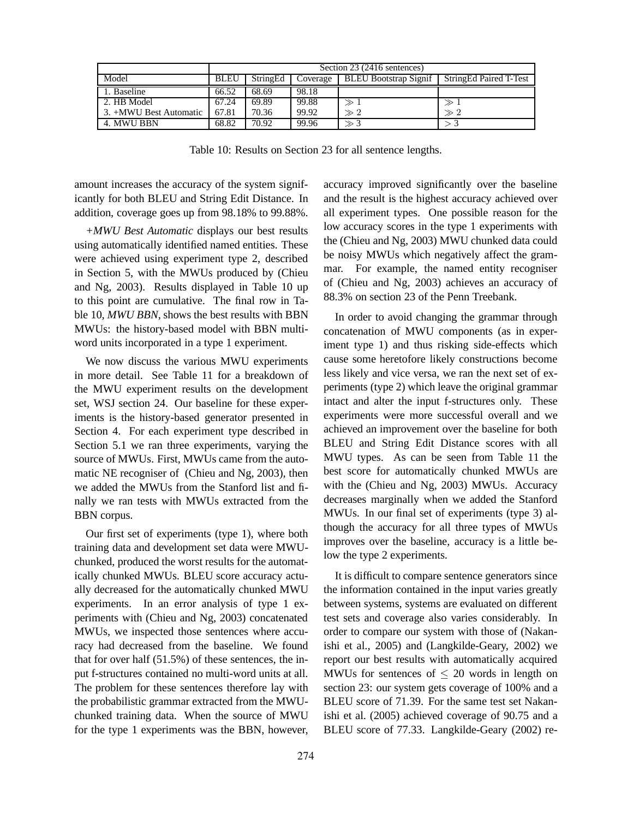|                        |             | Section 23 (2416 sentences) |          |                              |                        |
|------------------------|-------------|-----------------------------|----------|------------------------------|------------------------|
| Model                  | <b>BLEU</b> | StringEd                    | Coverage | <b>BLEU Bootstrap Signif</b> | StringEd Paired T-Test |
| 1. Baseline            | 66.52       | 68.69                       | 98.18    |                              |                        |
| 2. HB Model            | 67.24       | 69.89                       | 99.88    |                              | $\gg 1$                |
| 3. +MWU Best Automatic | 67.81       | 70.36                       | 99.92    | $\gg 2$                      | $\gg 2$                |
| 4. MWU BBN             | 68.82       | 70.92                       | 99.96    | $\gg$ 3                      |                        |

Table 10: Results on Section 23 for all sentence lengths.

amount increases the accuracy of the system significantly for both BLEU and String Edit Distance. In addition, coverage goes up from 98.18% to 99.88%.

*+MWU Best Automatic* displays our best results using automatically identified named entities. These were achieved using experiment type 2, described in Section 5, with the MWUs produced by (Chieu and Ng, 2003). Results displayed in Table 10 up to this point are cumulative. The final row in Table 10, *MWU BBN*, shows the best results with BBN MWUs: the history-based model with BBN multiword units incorporated in a type 1 experiment.

We now discuss the various MWU experiments in more detail. See Table 11 for a breakdown of the MWU experiment results on the development set, WSJ section 24. Our baseline for these experiments is the history-based generator presented in Section 4. For each experiment type described in Section 5.1 we ran three experiments, varying the source of MWUs. First, MWUs came from the automatic NE recogniser of (Chieu and Ng, 2003), then we added the MWUs from the Stanford list and finally we ran tests with MWUs extracted from the BBN corpus.

Our first set of experiments (type 1), where both training data and development set data were MWUchunked, produced the worst results for the automatically chunked MWUs. BLEU score accuracy actually decreased for the automatically chunked MWU experiments. In an error analysis of type 1 experiments with (Chieu and Ng, 2003) concatenated MWUs, we inspected those sentences where accuracy had decreased from the baseline. We found that for over half (51.5%) of these sentences, the input f-structures contained no multi-word units at all. The problem for these sentences therefore lay with the probabilistic grammar extracted from the MWUchunked training data. When the source of MWU for the type 1 experiments was the BBN, however,

accuracy improved significantly over the baseline and the result is the highest accuracy achieved over all experiment types. One possible reason for the low accuracy scores in the type 1 experiments with the (Chieu and Ng, 2003) MWU chunked data could be noisy MWUs which negatively affect the grammar. For example, the named entity recogniser of (Chieu and Ng, 2003) achieves an accuracy of 88.3% on section 23 of the Penn Treebank.

In order to avoid changing the grammar through concatenation of MWU components (as in experiment type 1) and thus risking side-effects which cause some heretofore likely constructions become less likely and vice versa, we ran the next set of experiments (type 2) which leave the original grammar intact and alter the input f-structures only. These experiments were more successful overall and we achieved an improvement over the baseline for both BLEU and String Edit Distance scores with all MWU types. As can be seen from Table 11 the best score for automatically chunked MWUs are with the (Chieu and Ng, 2003) MWUs. Accuracy decreases marginally when we added the Stanford MWUs. In our final set of experiments (type 3) although the accuracy for all three types of MWUs improves over the baseline, accuracy is a little below the type 2 experiments.

It is difficult to compare sentence generators since the information contained in the input varies greatly between systems, systems are evaluated on different test sets and coverage also varies considerably. In order to compare our system with those of (Nakanishi et al., 2005) and (Langkilde-Geary, 2002) we report our best results with automatically acquired MWUs for sentences of  $\leq 20$  words in length on section 23: our system gets coverage of 100% and a BLEU score of 71.39. For the same test set Nakanishi et al. (2005) achieved coverage of 90.75 and a BLEU score of 77.33. Langkilde-Geary (2002) re-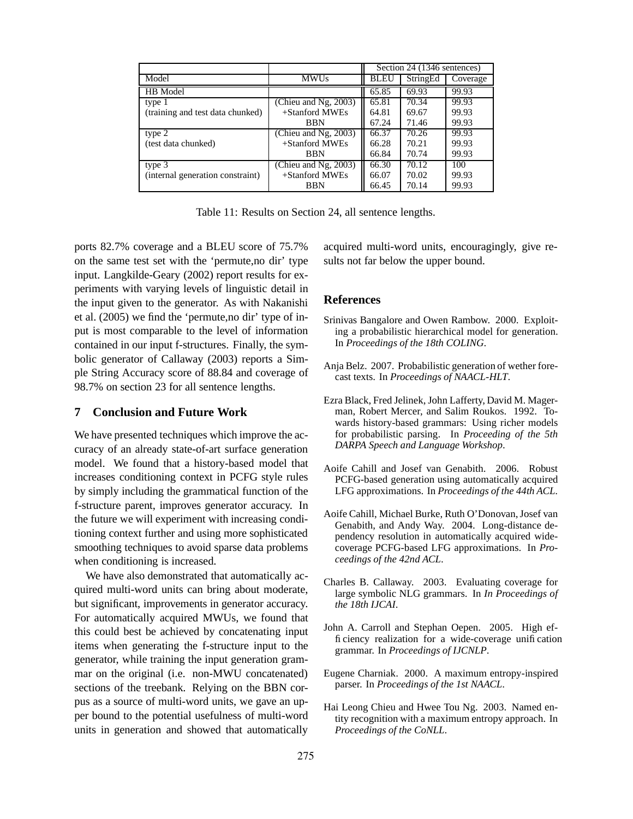|                                  |                      | Section 24 (1346 sentences) |          |          |
|----------------------------------|----------------------|-----------------------------|----------|----------|
| Model                            | <b>MWUs</b>          | <b>BLEU</b>                 | StringEd | Coverage |
| HB Model                         |                      | 65.85                       | 69.93    | 99.93    |
| type 1                           | (Chieu and Ng, 2003) | 65.81                       | 70.34    | 99.93    |
| (training and test data chunked) | +Stanford MWEs       | 64.81                       | 69.67    | 99.93    |
|                                  | <b>BBN</b>           | 67.24                       | 71.46    | 99.93    |
| type 2                           | (Chieu and Ng, 2003) | 66.37                       | 70.26    | 99.93    |
| (test data chunked)              | +Stanford MWEs       | 66.28                       | 70.21    | 99.93    |
|                                  | <b>BBN</b>           | 66.84                       | 70.74    | 99.93    |
| type 3                           | (Chieu and Ng, 2003) | 66.30                       | 70.12    | 100      |
| (internal generation constraint) | +Stanford MWEs       | 66.07                       | 70.02    | 99.93    |
|                                  | <b>BBN</b>           | 66.45                       | 70.14    | 99.93    |

Table 11: Results on Section 24, all sentence lengths.

ports 82.7% coverage and a BLEU score of 75.7% on the same test set with the 'permute,no dir' type input. Langkilde-Geary (2002) report results for experiments with varying levels of linguistic detail in the input given to the generator. As with Nakanishi et al. (2005) we find the 'permute,no dir' type of input is most comparable to the level of information contained in our input f-structures. Finally, the symbolic generator of Callaway (2003) reports a Simple String Accuracy score of 88.84 and coverage of 98.7% on section 23 for all sentence lengths.

### **7 Conclusion and Future Work**

We have presented techniques which improve the accuracy of an already state-of-art surface generation model. We found that a history-based model that increases conditioning context in PCFG style rules by simply including the grammatical function of the f-structure parent, improves generator accuracy. In the future we will experiment with increasing conditioning context further and using more sophisticated smoothing techniques to avoid sparse data problems when conditioning is increased.

We have also demonstrated that automatically acquired multi-word units can bring about moderate, but significant, improvements in generator accuracy. For automatically acquired MWUs, we found that this could best be achieved by concatenating input items when generating the f-structure input to the generator, while training the input generation grammar on the original (i.e. non-MWU concatenated) sections of the treebank. Relying on the BBN corpus as a source of multi-word units, we gave an upper bound to the potential usefulness of multi-word units in generation and showed that automatically

acquired multi-word units, encouragingly, give results not far below the upper bound.

#### **References**

- Srinivas Bangalore and Owen Rambow. 2000. Exploiting a probabilistic hierarchical model for generation. In *Proceedings of the 18th COLING*.
- Anja Belz. 2007. Probabilistic generation of wether forecast texts. In *Proceedings of NAACL-HLT*.
- Ezra Black, Fred Jelinek, John Lafferty, David M. Magerman, Robert Mercer, and Salim Roukos. 1992. Towards history-based grammars: Using richer models for probabilistic parsing. In *Proceeding of the 5th DARPA Speech and Language Workshop*.
- Aoife Cahill and Josef van Genabith. 2006. Robust PCFG-based generation using automatically acquired LFG approximations. In *Proceedings of the 44th ACL*.
- Aoife Cahill, Michael Burke, Ruth O'Donovan,Josef van Genabith, and Andy Way. 2004. Long-distance dependency resolution in automatically acquired widecoverage PCFG-based LFG approximations. In *Proceedings of the 42nd ACL*.
- Charles B. Callaway. 2003. Evaluating coverage for large symbolic NLG grammars. In *In Proceedings of the 18th IJCAI*.
- John A. Carroll and Stephan Oepen. 2005. High efficiency realization for a wide-coverage unification grammar. In *Proceedings of IJCNLP*.
- Eugene Charniak. 2000. A maximum entropy-inspired parser. In *Proceedings of the 1st NAACL*.
- Hai Leong Chieu and Hwee Tou Ng. 2003. Named entity recognition with a maximum entropy approach. In *Proceedings of the CoNLL*.